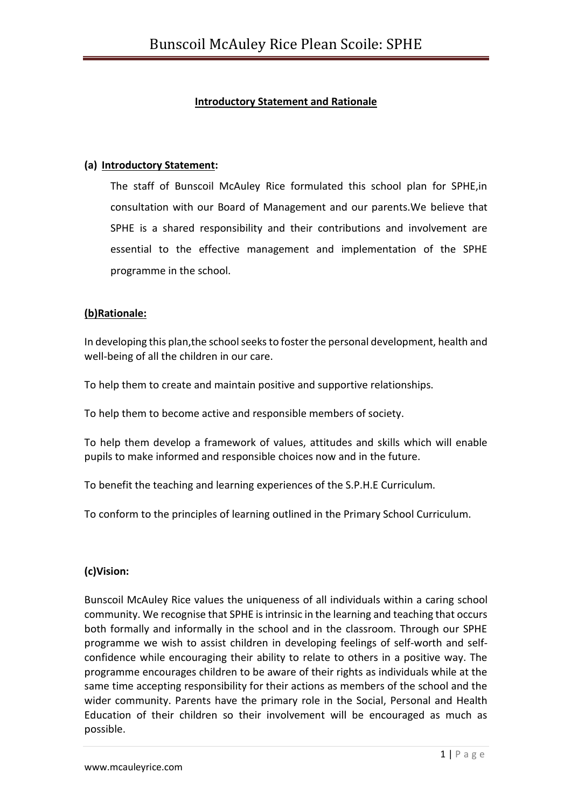# **Introductory Statement and Rationale**

#### **(a) Introductory Statement:**

The staff of Bunscoil McAuley Rice formulated this school plan for SPHE,in consultation with our Board of Management and our parents.We believe that SPHE is a shared responsibility and their contributions and involvement are essential to the effective management and implementation of the SPHE programme in the school.

### **(b)Rationale:**

In developing this plan,the school seeks to foster the personal development, health and well-being of all the children in our care.

To help them to create and maintain positive and supportive relationships.

To help them to become active and responsible members of society.

To help them develop a framework of values, attitudes and skills which will enable pupils to make informed and responsible choices now and in the future.

To benefit the teaching and learning experiences of the S.P.H.E Curriculum.

To conform to the principles of learning outlined in the Primary School Curriculum.

# **(c)Vision:**

Bunscoil McAuley Rice values the uniqueness of all individuals within a caring school community. We recognise that SPHE is intrinsic in the learning and teaching that occurs both formally and informally in the school and in the classroom. Through our SPHE programme we wish to assist children in developing feelings of self-worth and selfconfidence while encouraging their ability to relate to others in a positive way. The programme encourages children to be aware of their rights as individuals while at the same time accepting responsibility for their actions as members of the school and the wider community. Parents have the primary role in the Social, Personal and Health Education of their children so their involvement will be encouraged as much as possible.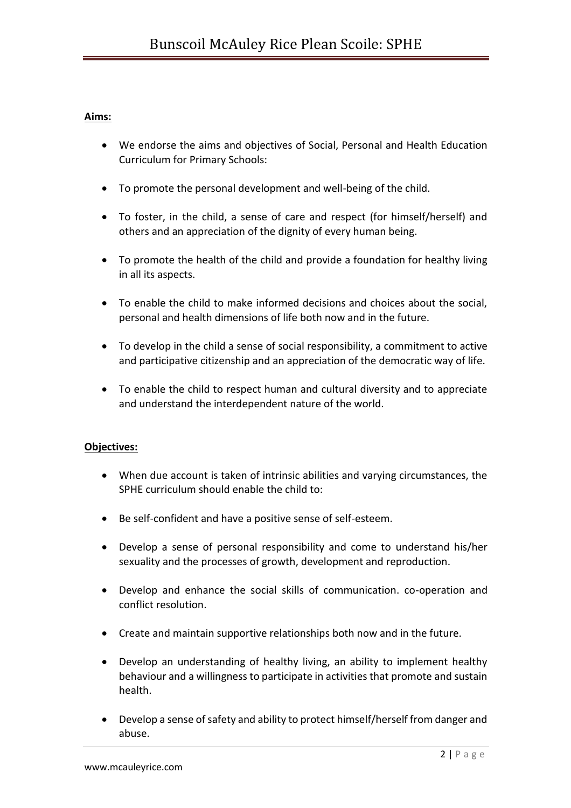# **Aims:**

- We endorse the aims and objectives of Social, Personal and Health Education Curriculum for Primary Schools:
- To promote the personal development and well-being of the child.
- To foster, in the child, a sense of care and respect (for himself/herself) and others and an appreciation of the dignity of every human being.
- To promote the health of the child and provide a foundation for healthy living in all its aspects.
- To enable the child to make informed decisions and choices about the social, personal and health dimensions of life both now and in the future.
- To develop in the child a sense of social responsibility, a commitment to active and participative citizenship and an appreciation of the democratic way of life.
- To enable the child to respect human and cultural diversity and to appreciate and understand the interdependent nature of the world.

# **Objectives:**

- When due account is taken of intrinsic abilities and varying circumstances, the SPHE curriculum should enable the child to:
- Be self-confident and have a positive sense of self-esteem.
- Develop a sense of personal responsibility and come to understand his/her sexuality and the processes of growth, development and reproduction.
- Develop and enhance the social skills of communication. co-operation and conflict resolution.
- Create and maintain supportive relationships both now and in the future.
- Develop an understanding of healthy living, an ability to implement healthy behaviour and a willingness to participate in activities that promote and sustain health.
- Develop a sense of safety and ability to protect himself/herself from danger and abuse.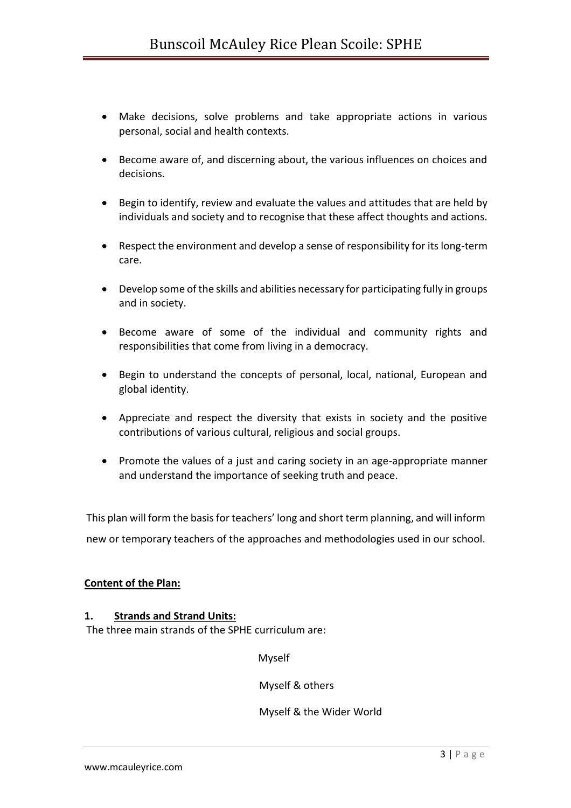- Make decisions, solve problems and take appropriate actions in various personal, social and health contexts.
- Become aware of, and discerning about, the various influences on choices and decisions.
- Begin to identify, review and evaluate the values and attitudes that are held by individuals and society and to recognise that these affect thoughts and actions.
- Respect the environment and develop a sense of responsibility for its long-term care.
- Develop some of the skills and abilities necessary for participating fully in groups and in society.
- Become aware of some of the individual and community rights and responsibilities that come from living in a democracy.
- Begin to understand the concepts of personal, local, national, European and global identity.
- Appreciate and respect the diversity that exists in society and the positive contributions of various cultural, religious and social groups.
- Promote the values of a just and caring society in an age-appropriate manner and understand the importance of seeking truth and peace.

This plan will form the basis for teachers' long and short term planning, and will inform new or temporary teachers of the approaches and methodologies used in our school.

# **Content of the Plan:**

# **1. Strands and Strand Units:**

The three main strands of the SPHE curriculum are:

Myself

Myself & others

Myself & the Wider World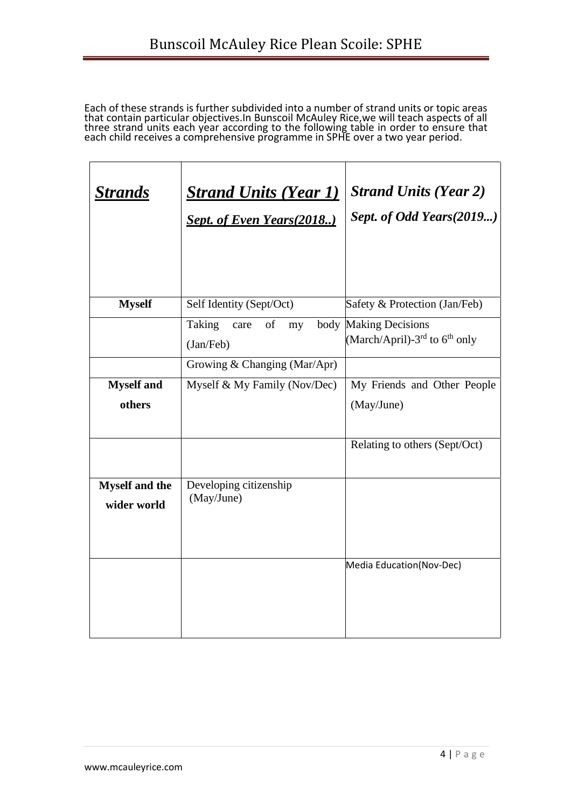Each of these strands is further subdivided into a number of strand units or topic areas that contain particular objectives.In Bunscoil McAuley Rice,we will teach aspects of all three strand units each year according to the following table in order to ensure that each child receives a comprehensive programme in SPHE over a two year period.

| <b>Strands</b>                       | <b>Strand Units (Year 1)</b><br><b>Sept. of Even Years (2018)</b> | <b>Strand Units (Year 2)</b><br>Sept. of Odd Years(2019)             |
|--------------------------------------|-------------------------------------------------------------------|----------------------------------------------------------------------|
| <b>Myself</b>                        | Self Identity (Sept/Oct)                                          | Safety & Protection (Jan/Feb)                                        |
|                                      | <b>Taking</b><br>of<br>care<br>my<br>(Jan/Feb)                    | body Making Decisions<br>(March/April)-3 <sup>rd</sup> to $6th$ only |
|                                      | Growing & Changing (Mar/Apr)                                      |                                                                      |
| <b>Myself</b> and                    | Myself & My Family (Nov/Dec)                                      | My Friends and Other People                                          |
| others                               |                                                                   | (May/June)                                                           |
|                                      |                                                                   | Relating to others (Sept/Oct)                                        |
| <b>Myself and the</b><br>wider world | Developing citizenship<br>(May/June)                              |                                                                      |
|                                      |                                                                   | Media Education (Nov-Dec)                                            |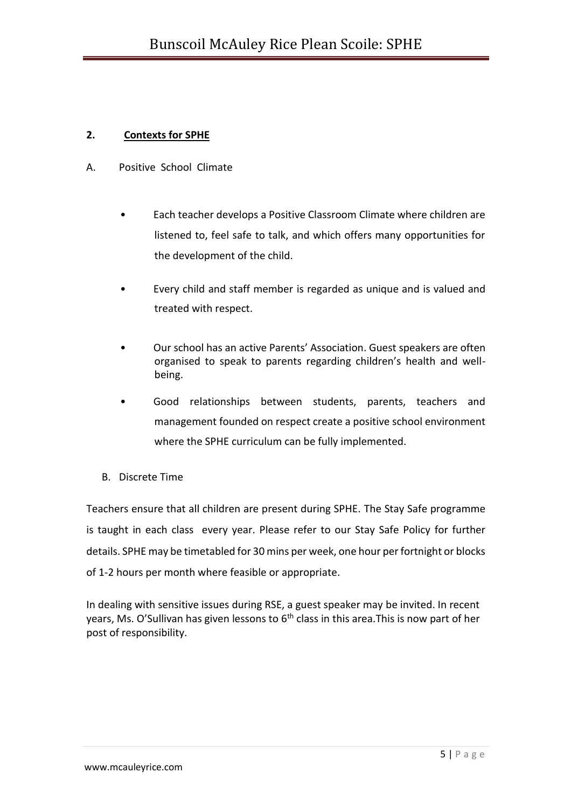# **2. Contexts for SPHE**

- A. Positive School Climate
	- Each teacher develops a Positive Classroom Climate where children are listened to, feel safe to talk, and which offers many opportunities for the development of the child.
	- Every child and staff member is regarded as unique and is valued and treated with respect.
	- Our school has an active Parents' Association. Guest speakers are often organised to speak to parents regarding children's health and wellbeing.
	- Good relationships between students, parents, teachers and management founded on respect create a positive school environment where the SPHE curriculum can be fully implemented.
	- B. Discrete Time

Teachers ensure that all children are present during SPHE. The Stay Safe programme is taught in each class every year. Please refer to our Stay Safe Policy for further details. SPHE may be timetabled for 30 mins per week, one hour per fortnight or blocks of 1-2 hours per month where feasible or appropriate.

In dealing with sensitive issues during RSE, a guest speaker may be invited. In recent years, Ms. O'Sullivan has given lessons to  $6<sup>th</sup>$  class in this area. This is now part of her post of responsibility.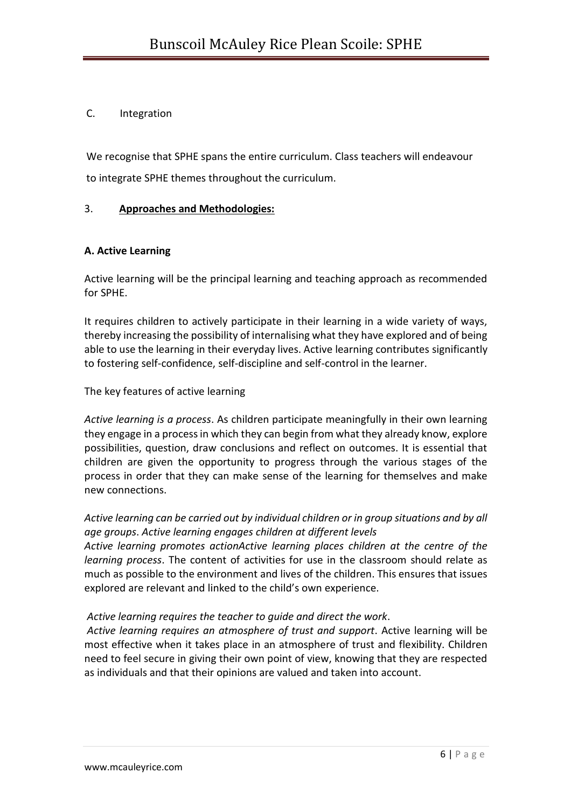# C. Integration

We recognise that SPHE spans the entire curriculum. Class teachers will endeavour to integrate SPHE themes throughout the curriculum.

# 3. **Approaches and Methodologies:**

# **A. Active Learning**

Active learning will be the principal learning and teaching approach as recommended for SPHE.

It requires children to actively participate in their learning in a wide variety of ways, thereby increasing the possibility of internalising what they have explored and of being able to use the learning in their everyday lives. Active learning contributes significantly to fostering self-confidence, self-discipline and self-control in the learner.

The key features of active learning

*Active learning is a process*. As children participate meaningfully in their own learning they engage in a process in which they can begin from what they already know, explore possibilities, question, draw conclusions and reflect on outcomes. It is essential that children are given the opportunity to progress through the various stages of the process in order that they can make sense of the learning for themselves and make new connections.

# *Active learning can be carried out by individual children or in group situations and by all age groups*. *Active learning engages children at different levels*

*Active learning promotes actionActive learning places children at the centre of the learning process*. The content of activities for use in the classroom should relate as much as possible to the environment and lives of the children. This ensures that issues explored are relevant and linked to the child's own experience.

# *Active learning requires the teacher to guide and direct the work*.

*Active learning requires an atmosphere of trust and support*. Active learning will be most effective when it takes place in an atmosphere of trust and flexibility. Children need to feel secure in giving their own point of view, knowing that they are respected as individuals and that their opinions are valued and taken into account.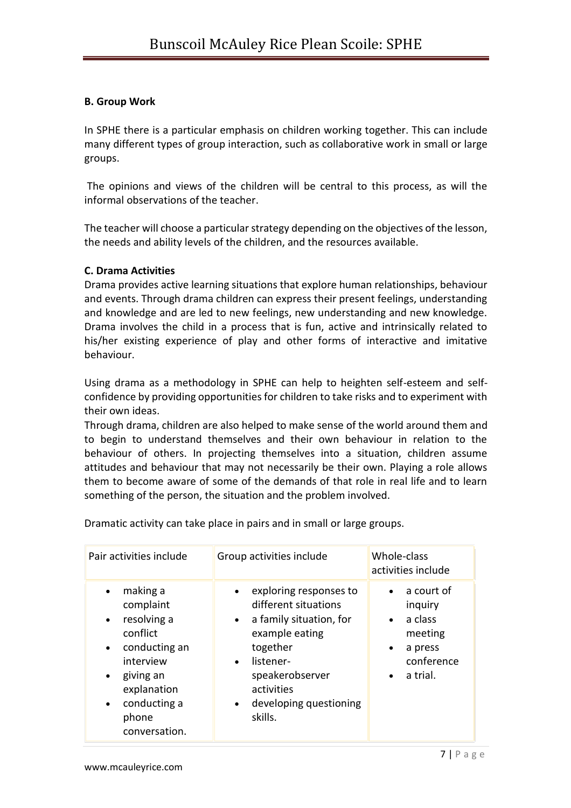### **B. Group Work**

In SPHE there is a particular emphasis on children working together. This can include many different types of group interaction, such as collaborative work in small or large groups.

The opinions and views of the children will be central to this process, as will the informal observations of the teacher.

The teacher will choose a particular strategy depending on the objectives of the lesson, the needs and ability levels of the children, and the resources available.

### **C. Drama Activities**

Drama provides active learning situations that explore human relationships, behaviour and events. Through drama children can express their present feelings, understanding and knowledge and are led to new feelings, new understanding and new knowledge. Drama involves the child in a process that is fun, active and intrinsically related to his/her existing experience of play and other forms of interactive and imitative behaviour.

Using drama as a methodology in SPHE can help to heighten self-esteem and selfconfidence by providing opportunities for children to take risks and to experiment with their own ideas.

Through drama, children are also helped to make sense of the world around them and to begin to understand themselves and their own behaviour in relation to the behaviour of others. In projecting themselves into a situation, children assume attitudes and behaviour that may not necessarily be their own. Playing a role allows them to become aware of some of the demands of that role in real life and to learn something of the person, the situation and the problem involved.

| Pair activities include                                                                                                                                                                                               | Group activities include                                                                                                                                                                                                                       | Whole-class<br>activities include                                                                                       |
|-----------------------------------------------------------------------------------------------------------------------------------------------------------------------------------------------------------------------|------------------------------------------------------------------------------------------------------------------------------------------------------------------------------------------------------------------------------------------------|-------------------------------------------------------------------------------------------------------------------------|
| making a<br>$\bullet$<br>complaint<br>resolving a<br>$\bullet$<br>conflict<br>conducting an<br>$\bullet$<br>interview<br>giving an<br>$\bullet$<br>explanation<br>conducting a<br>$\bullet$<br>phone<br>conversation. | exploring responses to<br>$\bullet$<br>different situations<br>a family situation, for<br>$\bullet$<br>example eating<br>together<br>listener-<br>$\bullet$<br>speakerobserver<br>activities<br>developing questioning<br>$\bullet$<br>skills. | a court of<br>inquiry<br>a class<br>$\bullet$<br>meeting<br>a press<br>$\bullet$<br>conference<br>a trial.<br>$\bullet$ |

Dramatic activity can take place in pairs and in small or large groups.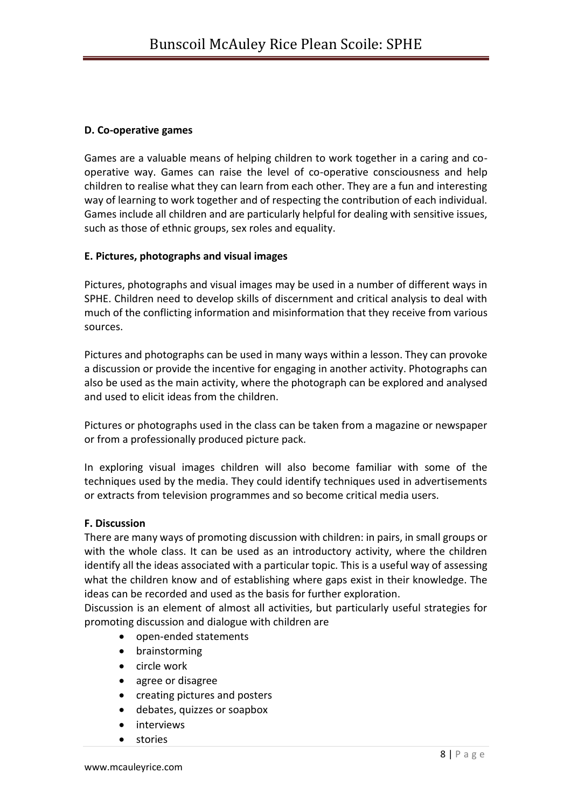# **D. Co-operative games**

Games are a valuable means of helping children to work together in a caring and cooperative way. Games can raise the level of co-operative consciousness and help children to realise what they can learn from each other. They are a fun and interesting way of learning to work together and of respecting the contribution of each individual. Games include all children and are particularly helpful for dealing with sensitive issues, such as those of ethnic groups, sex roles and equality.

# **E. Pictures, photographs and visual images**

Pictures, photographs and visual images may be used in a number of different ways in SPHE. Children need to develop skills of discernment and critical analysis to deal with much of the conflicting information and misinformation that they receive from various sources.

Pictures and photographs can be used in many ways within a lesson. They can provoke a discussion or provide the incentive for engaging in another activity. Photographs can also be used as the main activity, where the photograph can be explored and analysed and used to elicit ideas from the children.

Pictures or photographs used in the class can be taken from a magazine or newspaper or from a professionally produced picture pack.

In exploring visual images children will also become familiar with some of the techniques used by the media. They could identify techniques used in advertisements or extracts from television programmes and so become critical media users.

# **F. Discussion**

There are many ways of promoting discussion with children: in pairs, in small groups or with the whole class. It can be used as an introductory activity, where the children identify all the ideas associated with a particular topic. This is a useful way of assessing what the children know and of establishing where gaps exist in their knowledge. The ideas can be recorded and used as the basis for further exploration.

Discussion is an element of almost all activities, but particularly useful strategies for promoting discussion and dialogue with children are

- open-ended statements
- brainstorming
- circle work
- agree or disagree
- creating pictures and posters
- debates, quizzes or soapbox
- interviews
- stories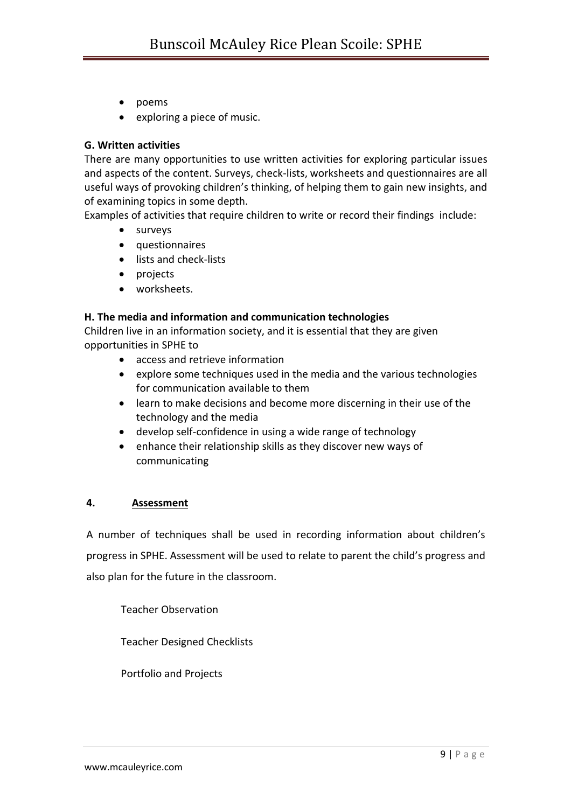- poems
- exploring a piece of music.

### **G. Written activities**

There are many opportunities to use written activities for exploring particular issues and aspects of the content. Surveys, check-lists, worksheets and questionnaires are all useful ways of provoking children's thinking, of helping them to gain new insights, and of examining topics in some depth.

Examples of activities that require children to write or record their findings include:

- surveys
- questionnaires
- lists and check-lists
- projects
- worksheets.

### **H. The media and information and communication technologies**

Children live in an information society, and it is essential that they are given opportunities in SPHE to

- access and retrieve information
- explore some techniques used in the media and the various technologies for communication available to them
- learn to make decisions and become more discerning in their use of the technology and the media
- develop self-confidence in using a wide range of technology
- enhance their relationship skills as they discover new ways of communicating

#### **4. Assessment**

A number of techniques shall be used in recording information about children's progress in SPHE. Assessment will be used to relate to parent the child's progress and also plan for the future in the classroom.

Teacher Observation

Teacher Designed Checklists

Portfolio and Projects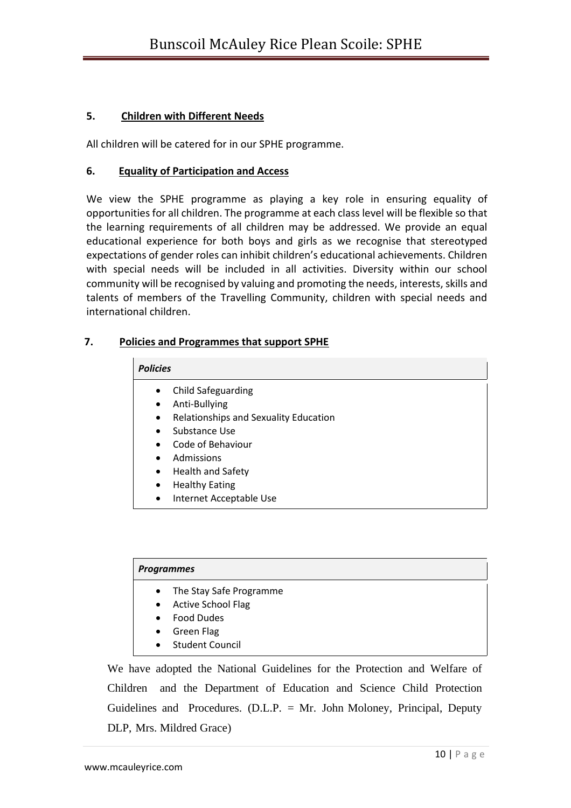# **5. Children with Different Needs**

All children will be catered for in our SPHE programme.

#### **6. Equality of Participation and Access**

We view the SPHE programme as playing a key role in ensuring equality of opportunities for all children. The programme at each class level will be flexible so that the learning requirements of all children may be addressed. We provide an equal educational experience for both boys and girls as we recognise that stereotyped expectations of gender roles can inhibit children's educational achievements. Children with special needs will be included in all activities. Diversity within our school community will be recognised by valuing and promoting the needs, interests, skills and talents of members of the Travelling Community, children with special needs and international children.

### **7. Policies and Programmes that support SPHE**

#### *Policies*

- Child Safeguarding
- Anti-Bullying
- Relationships and Sexuality Education
- Substance Use
- Code of Behaviour
- Admissions
- Health and Safety
- Healthy Eating
- Internet Acceptable Use

#### *Programmes*

- The Stay Safe Programme
- Active School Flag
- Food Dudes
- Green Flag
- Student Council

We have adopted the National Guidelines for the Protection and Welfare of Children and the Department of Education and Science Child Protection Guidelines and Procedures. (D.L.P. = Mr. John Moloney, Principal, Deputy DLP, Mrs. Mildred Grace)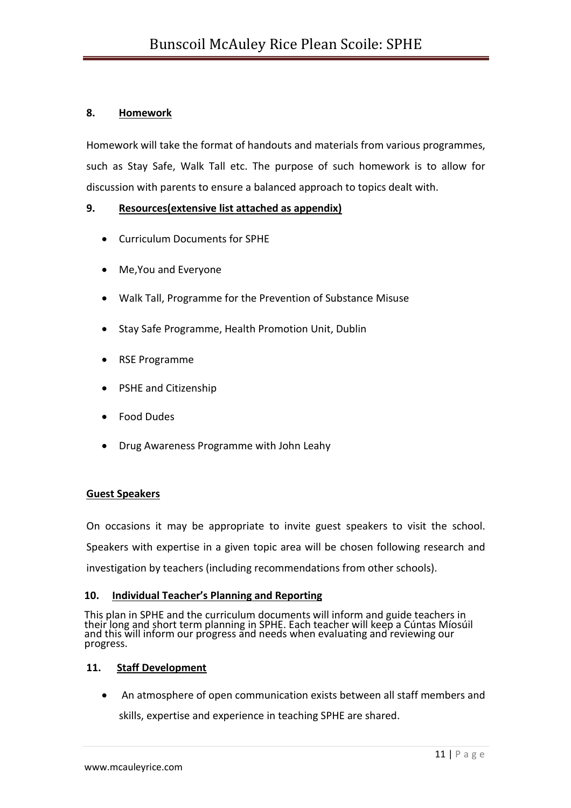# **8. Homework**

Homework will take the format of handouts and materials from various programmes, such as Stay Safe, Walk Tall etc. The purpose of such homework is to allow for discussion with parents to ensure a balanced approach to topics dealt with.

# **9. Resources(extensive list attached as appendix)**

- Curriculum Documents for SPHE
- Me,You and Everyone
- Walk Tall, Programme for the Prevention of Substance Misuse
- Stay Safe Programme, Health Promotion Unit, Dublin
- RSE Programme
- PSHE and Citizenship
- Food Dudes
- Drug Awareness Programme with John Leahy

#### **Guest Speakers**

On occasions it may be appropriate to invite guest speakers to visit the school.

Speakers with expertise in a given topic area will be chosen following research and

investigation by teachers (including recommendations from other schools).

#### **10. Individual Teacher's Planning and Reporting**

This plan in SPHE and the curriculum documents will inform and guide teachers in their long and short term planning in SPHE. Each teacher will keep a Cúntas Míosúil and this will inform our progress and needs when evaluating and reviewing our progress.

#### **11. Staff Development**

• An atmosphere of open communication exists between all staff members and

skills, expertise and experience in teaching SPHE are shared.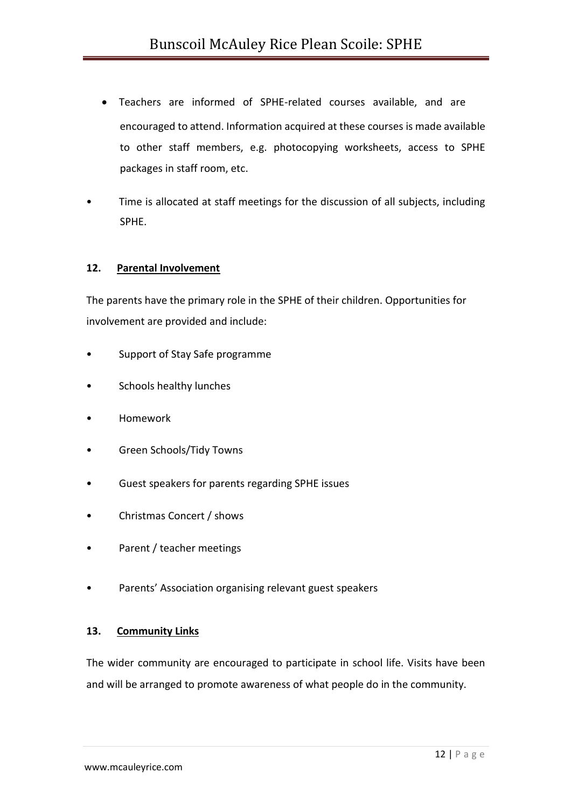- Teachers are informed of SPHE-related courses available, and are encouraged to attend. Information acquired at these courses is made available to other staff members, e.g. photocopying worksheets, access to SPHE packages in staff room, etc.
- Time is allocated at staff meetings for the discussion of all subjects, including SPHE.

### **12. Parental Involvement**

The parents have the primary role in the SPHE of their children. Opportunities for involvement are provided and include:

- Support of Stay Safe programme
- Schools healthy lunches
- Homework
- Green Schools/Tidy Towns
- Guest speakers for parents regarding SPHE issues
- Christmas Concert / shows
- Parent / teacher meetings
- Parents' Association organising relevant guest speakers

#### **13. Community Links**

The wider community are encouraged to participate in school life. Visits have been and will be arranged to promote awareness of what people do in the community.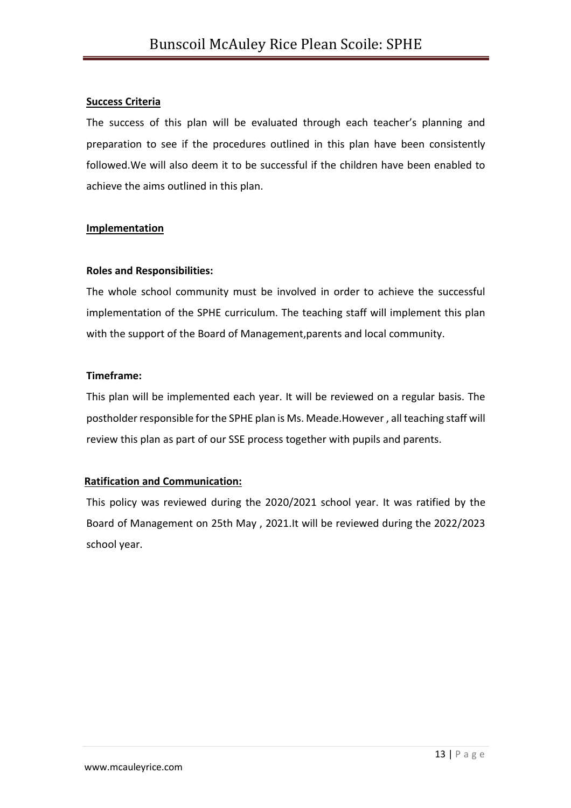#### **Success Criteria**

The success of this plan will be evaluated through each teacher's planning and preparation to see if the procedures outlined in this plan have been consistently followed.We will also deem it to be successful if the children have been enabled to achieve the aims outlined in this plan.

### **Implementation**

### **Roles and Responsibilities:**

The whole school community must be involved in order to achieve the successful implementation of the SPHE curriculum. The teaching staff will implement this plan with the support of the Board of Management,parents and local community.

### **Timeframe:**

This plan will be implemented each year. It will be reviewed on a regular basis. The postholder responsible for the SPHE plan is Ms. Meade.However , all teaching staff will review this plan as part of our SSE process together with pupils and parents.

# **Ratification and Communication:**

This policy was reviewed during the 2020/2021 school year. It was ratified by the Board of Management on 25th May , 2021.It will be reviewed during the 2022/2023 school year.